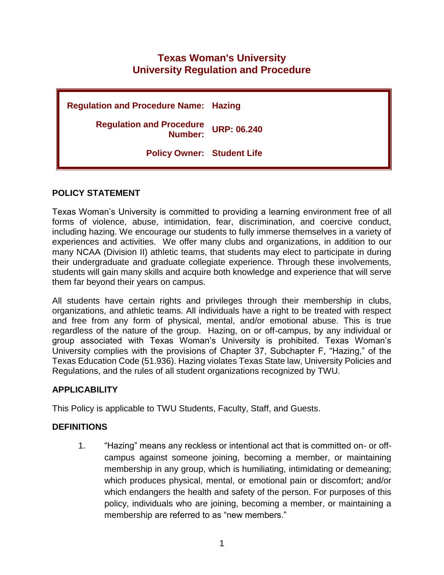# **Texas Woman's University University Regulation and Procedure**

**Regulation and Procedure Name: Hazing Regulation and Procedure Number: URP: 06.240 Policy Owner: Student Life**

# **POLICY STATEMENT**

Texas Woman's University is committed to providing a learning environment free of all forms of violence, abuse, intimidation, fear, discrimination, and coercive conduct, including hazing. We encourage our students to fully immerse themselves in a variety of experiences and activities. We offer many clubs and organizations, in addition to our many NCAA (Division II) athletic teams, that students may elect to participate in during their undergraduate and graduate collegiate experience. Through these involvements, students will gain many skills and acquire both knowledge and experience that will serve them far beyond their years on campus.

All students have certain rights and privileges through their membership in clubs, organizations, and athletic teams. All individuals have a right to be treated with respect and free from any form of physical, mental, and/or emotional abuse. This is true regardless of the nature of the group. Hazing, on or off-campus, by any individual or group associated with Texas Woman's University is prohibited. Texas Woman's University complies with the provisions of Chapter 37, Subchapter F, "Hazing," of the Texas Education Code (51.936). Hazing violates Texas State law, University Policies and Regulations, and the rules of all student organizations recognized by TWU.

# **APPLICABILITY**

This Policy is applicable to TWU Students, Faculty, Staff, and Guests.

# **DEFINITIONS**

1. "Hazing" means any reckless or intentional act that is committed on- or offcampus against someone joining, becoming a member, or maintaining membership in any group, which is humiliating, intimidating or demeaning; which produces physical, mental, or emotional pain or discomfort; and/or which endangers the health and safety of the person. For purposes of this policy, individuals who are joining, becoming a member, or maintaining a membership are referred to as "new members."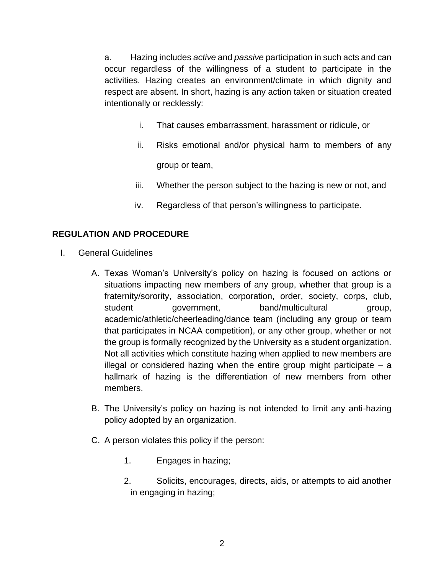a. Hazing includes *active* and *passive* participation in such acts and can occur regardless of the willingness of a student to participate in the activities. Hazing creates an environment/climate in which dignity and respect are absent. In short, hazing is any action taken or situation created intentionally or recklessly:

- i. That causes embarrassment, harassment or ridicule, or
- ii. Risks emotional and/or physical harm to members of any group or team,
- iii. Whether the person subject to the hazing is new or not, and
- iv. Regardless of that person's willingness to participate.

### **REGULATION AND PROCEDURE**

- I. General Guidelines
	- A. Texas Woman's University's policy on hazing is focused on actions or situations impacting new members of any group, whether that group is a fraternity/sorority, association, corporation, order, society, corps, club, student government, band/multicultural group, academic/athletic/cheerleading/dance team (including any group or team that participates in NCAA competition), or any other group, whether or not the group is formally recognized by the University as a student organization. Not all activities which constitute hazing when applied to new members are illegal or considered hazing when the entire group might participate  $-$  a hallmark of hazing is the differentiation of new members from other members.
	- B. The University's policy on hazing is not intended to limit any anti-hazing policy adopted by an organization.
	- C. A person violates this policy if the person:
		- 1. Engages in hazing;
		- 2. Solicits, encourages, directs, aids, or attempts to aid another in engaging in hazing;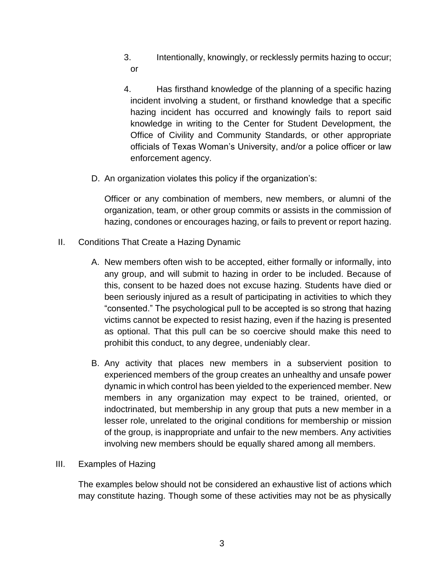- 3. Intentionally, knowingly, or recklessly permits hazing to occur; or
- 4. Has firsthand knowledge of the planning of a specific hazing incident involving a student, or firsthand knowledge that a specific hazing incident has occurred and knowingly fails to report said knowledge in writing to the Center for Student Development, the Office of Civility and Community Standards, or other appropriate officials of Texas Woman's University, and/or a police officer or law enforcement agency.
- D. An organization violates this policy if the organization's:

Officer or any combination of members, new members, or alumni of the organization, team, or other group commits or assists in the commission of hazing, condones or encourages hazing, or fails to prevent or report hazing.

- II. Conditions That Create a Hazing Dynamic
	- A. New members often wish to be accepted, either formally or informally, into any group, and will submit to hazing in order to be included. Because of this, consent to be hazed does not excuse hazing. Students have died or been seriously injured as a result of participating in activities to which they "consented." The psychological pull to be accepted is so strong that hazing victims cannot be expected to resist hazing, even if the hazing is presented as optional. That this pull can be so coercive should make this need to prohibit this conduct, to any degree, undeniably clear.
	- B. Any activity that places new members in a subservient position to experienced members of the group creates an unhealthy and unsafe power dynamic in which control has been yielded to the experienced member. New members in any organization may expect to be trained, oriented, or indoctrinated, but membership in any group that puts a new member in a lesser role, unrelated to the original conditions for membership or mission of the group, is inappropriate and unfair to the new members. Any activities involving new members should be equally shared among all members.
- III. Examples of Hazing

The examples below should not be considered an exhaustive list of actions which may constitute hazing. Though some of these activities may not be as physically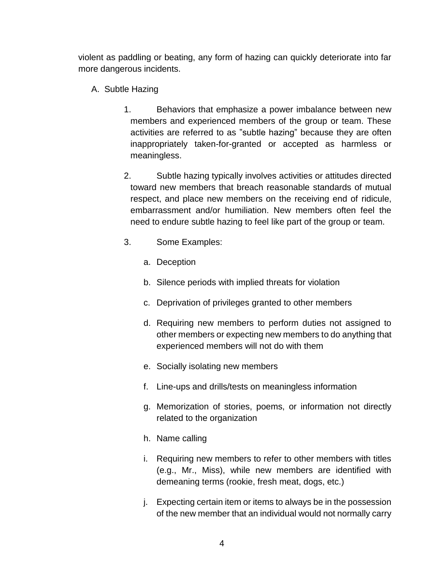violent as paddling or beating, any form of hazing can quickly deteriorate into far more dangerous incidents.

- A. Subtle Hazing
	- 1. Behaviors that emphasize a power imbalance between new members and experienced members of the group or team. These activities are referred to as "subtle hazing" because they are often inappropriately taken-for-granted or accepted as harmless or meaningless.
	- 2. Subtle hazing typically involves activities or attitudes directed toward new members that breach reasonable standards of mutual respect, and place new members on the receiving end of ridicule, embarrassment and/or humiliation. New members often feel the need to endure subtle hazing to feel like part of the group or team.
	- 3. Some Examples:
		- a. Deception
		- b. Silence periods with implied threats for violation
		- c. Deprivation of privileges granted to other members
		- d. Requiring new members to perform duties not assigned to other members or expecting new members to do anything that experienced members will not do with them
		- e. Socially isolating new members
		- f. Line-ups and drills/tests on meaningless information
		- g. Memorization of stories, poems, or information not directly related to the organization
		- h. Name calling
		- i. Requiring new members to refer to other members with titles (e.g., Mr., Miss), while new members are identified with demeaning terms (rookie, fresh meat, dogs, etc.)
		- j. Expecting certain item or items to always be in the possession of the new member that an individual would not normally carry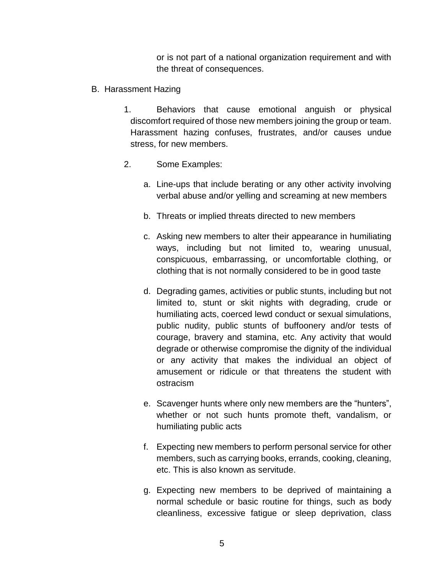or is not part of a national organization requirement and with the threat of consequences.

- B. Harassment Hazing
	- 1. Behaviors that cause emotional anguish or physical discomfort required of those new members joining the group or team. Harassment hazing confuses, frustrates, and/or causes undue stress, for new members.
	- 2. Some Examples:
		- a. Line-ups that include berating or any other activity involving verbal abuse and/or yelling and screaming at new members
		- b. Threats or implied threats directed to new members
		- c. Asking new members to alter their appearance in humiliating ways, including but not limited to, wearing unusual, conspicuous, embarrassing, or uncomfortable clothing, or clothing that is not normally considered to be in good taste
		- d. Degrading games, activities or public stunts, including but not limited to, stunt or skit nights with degrading, crude or humiliating acts, coerced lewd conduct or sexual simulations, public nudity, public stunts of buffoonery and/or tests of courage, bravery and stamina, etc. Any activity that would degrade or otherwise compromise the dignity of the individual or any activity that makes the individual an object of amusement or ridicule or that threatens the student with ostracism
		- e. Scavenger hunts where only new members are the "hunters", whether or not such hunts promote theft, vandalism, or humiliating public acts
		- f. Expecting new members to perform personal service for other members, such as carrying books, errands, cooking, cleaning, etc. This is also known as servitude.
		- g. Expecting new members to be deprived of maintaining a normal schedule or basic routine for things, such as body cleanliness, excessive fatigue or sleep deprivation, class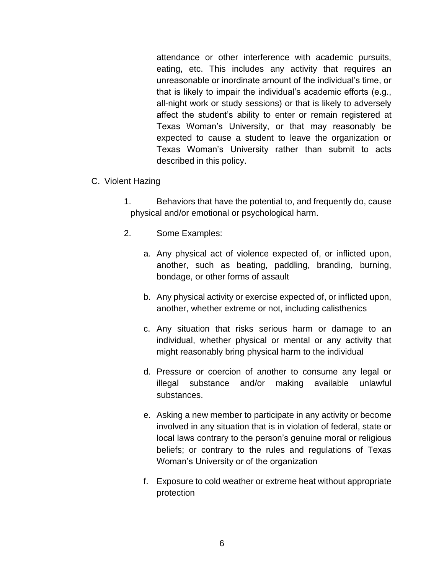attendance or other interference with academic pursuits, eating, etc. This includes any activity that requires an unreasonable or inordinate amount of the individual's time, or that is likely to impair the individual's academic efforts (e.g., all-night work or study sessions) or that is likely to adversely affect the student's ability to enter or remain registered at Texas Woman's University, or that may reasonably be expected to cause a student to leave the organization or Texas Woman's University rather than submit to acts described in this policy.

- C. Violent Hazing
	- 1. Behaviors that have the potential to, and frequently do, cause physical and/or emotional or psychological harm.
	- 2. Some Examples:
		- a. Any physical act of violence expected of, or inflicted upon, another, such as beating, paddling, branding, burning, bondage, or other forms of assault
		- b. Any physical activity or exercise expected of, or inflicted upon, another, whether extreme or not, including calisthenics
		- c. Any situation that risks serious harm or damage to an individual, whether physical or mental or any activity that might reasonably bring physical harm to the individual
		- d. Pressure or coercion of another to consume any legal or illegal substance and/or making available unlawful substances.
		- e. Asking a new member to participate in any activity or become involved in any situation that is in violation of federal, state or local laws contrary to the person's genuine moral or religious beliefs; or contrary to the rules and regulations of Texas Woman's University or of the organization
		- f. Exposure to cold weather or extreme heat without appropriate protection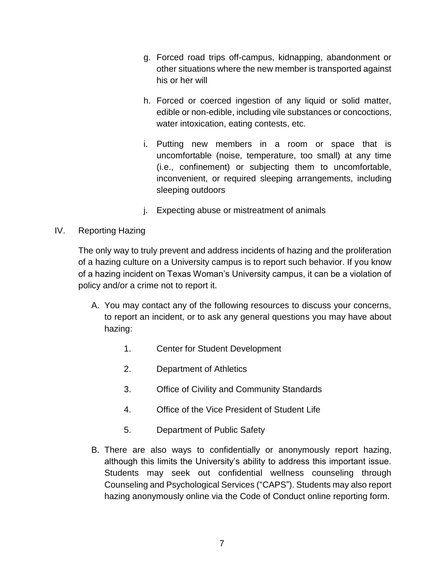- g. Forced road trips off-campus, kidnapping, abandonment or other situations where the new member is transported against his or her will
- h. Forced or coerced ingestion of any liquid or solid matter, edible or non-edible, including vile substances or concoctions, water intoxication, eating contests, etc.
- i. Putting new members in a room or space that is uncomfortable (noise, temperature, too small) at any time (i.e., confinement) or subjecting them to uncomfortable, inconvenient, or required sleeping arrangements, including sleeping outdoors
- j. Expecting abuse or mistreatment of animals

# IV. Reporting Hazing

The only way to truly prevent and address incidents of hazing and the proliferation of a hazing culture on a University campus is to report such behavior. If you know of a hazing incident on Texas Woman's University campus, it can be a violation of policy and/or a crime not to report it.

- A. You may contact any of the following resources to discuss your concerns, to report an incident, or to ask any general questions you may have about hazing:
	- 1. Center for Student Development
	- 2. Department of Athletics
	- 3. Office of Civility and Community Standards
	- 4. Office of the Vice President of Student Life
	- 5. Department of Public Safety
- B. There are also ways to confidentially or anonymously report hazing, although this limits the University's ability to address this important issue. Students may seek out confidential wellness counseling through Counseling and Psychological Services ("CAPS"). Students may also report hazing anonymously online via the Code of Conduct online reporting form.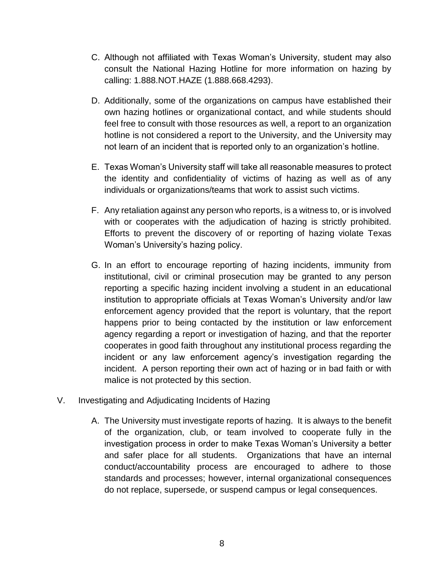- C. Although not affiliated with Texas Woman's University, student may also consult the National Hazing Hotline for more information on hazing by calling: 1.888.NOT.HAZE (1.888.668.4293).
- D. Additionally, some of the organizations on campus have established their own hazing hotlines or organizational contact, and while students should feel free to consult with those resources as well, a report to an organization hotline is not considered a report to the University, and the University may not learn of an incident that is reported only to an organization's hotline.
- E. Texas Woman's University staff will take all reasonable measures to protect the identity and confidentiality of victims of hazing as well as of any individuals or organizations/teams that work to assist such victims.
- F. Any retaliation against any person who reports, is a witness to, or is involved with or cooperates with the adjudication of hazing is strictly prohibited. Efforts to prevent the discovery of or reporting of hazing violate Texas Woman's University's hazing policy.
- G. In an effort to encourage reporting of hazing incidents, immunity from institutional, civil or criminal prosecution may be granted to any person reporting a specific hazing incident involving a student in an educational institution to appropriate officials at Texas Woman's University and/or law enforcement agency provided that the report is voluntary, that the report happens prior to being contacted by the institution or law enforcement agency regarding a report or investigation of hazing, and that the reporter cooperates in good faith throughout any institutional process regarding the incident or any law enforcement agency's investigation regarding the incident. A person reporting their own act of hazing or in bad faith or with malice is not protected by this section.
- V. Investigating and Adjudicating Incidents of Hazing
	- A. The University must investigate reports of hazing. It is always to the benefit of the organization, club, or team involved to cooperate fully in the investigation process in order to make Texas Woman's University a better and safer place for all students. Organizations that have an internal conduct/accountability process are encouraged to adhere to those standards and processes; however, internal organizational consequences do not replace, supersede, or suspend campus or legal consequences.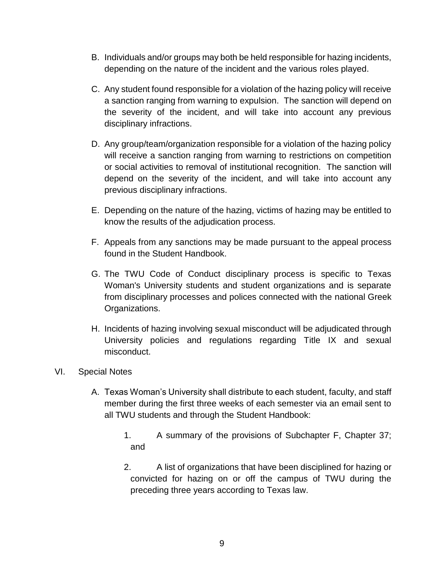- B. Individuals and/or groups may both be held responsible for hazing incidents, depending on the nature of the incident and the various roles played.
- C. Any student found responsible for a violation of the hazing policy will receive a sanction ranging from warning to expulsion. The sanction will depend on the severity of the incident, and will take into account any previous disciplinary infractions.
- D. Any group/team/organization responsible for a violation of the hazing policy will receive a sanction ranging from warning to restrictions on competition or social activities to removal of institutional recognition. The sanction will depend on the severity of the incident, and will take into account any previous disciplinary infractions.
- E. Depending on the nature of the hazing, victims of hazing may be entitled to know the results of the adjudication process.
- F. Appeals from any sanctions may be made pursuant to the appeal process found in the Student Handbook.
- G. The TWU Code of Conduct disciplinary process is specific to Texas Woman's University students and student organizations and is separate from disciplinary processes and polices connected with the national Greek Organizations.
- H. Incidents of hazing involving sexual misconduct will be adjudicated through University policies and regulations regarding Title IX and sexual misconduct.

### VI. Special Notes

- A. Texas Woman's University shall distribute to each student, faculty, and staff member during the first three weeks of each semester via an email sent to all TWU students and through the Student Handbook:
	- 1. A summary of the provisions of Subchapter F, Chapter 37; and
	- 2. A list of organizations that have been disciplined for hazing or convicted for hazing on or off the campus of TWU during the preceding three years according to Texas law.